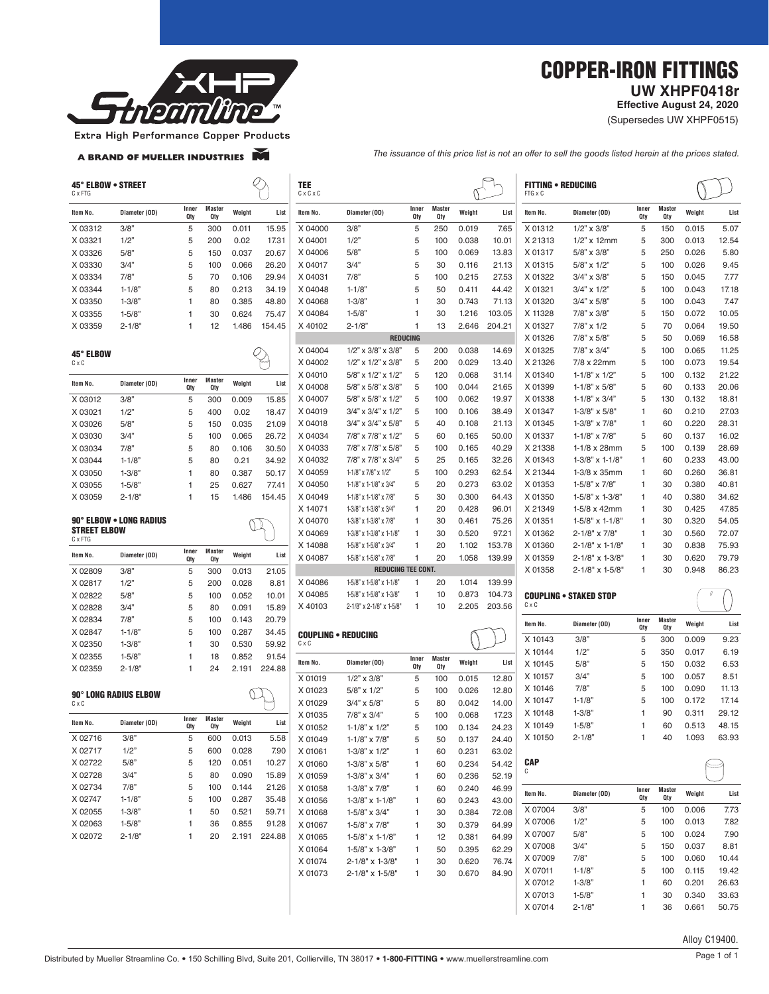

## COPPER-IRON FITTINGS  **UW XHPF0418r**

**Effective August 24, 2020**

(Supersedes UW XHPF0515)

Extra High Performance Copper Products

A BRAND OF MUELLER INDUSTRIES

*The issuance of this price list is not an offer to sell the goods listed herein at the prices stated.*

| C x FTG             | 45° ELBOW • STREET           |              |                             |        |                                                | TEE<br>$C \times C \times C$ |                                         |              |                      |                |                | <b>FITTING • REDUCING</b><br>FTG x C |                               |              |                      |        |       |
|---------------------|------------------------------|--------------|-----------------------------|--------|------------------------------------------------|------------------------------|-----------------------------------------|--------------|----------------------|----------------|----------------|--------------------------------------|-------------------------------|--------------|----------------------|--------|-------|
| Item No.            | Diameter (OD)                | Inner<br>Qty | <b>Master</b><br>Qty        | Weight | List                                           | Item No.                     | Diameter (OD)                           | Inner<br>Qty | <b>Master</b><br>Qty | Weight         | List           | Item No.                             | Diameter (OD)                 | Inner<br>Qty | <b>Master</b><br>Qty | Weight | List  |
| X 03312             | 3/8"                         | 5            | 300                         | 0.011  | 15.95                                          | X 04000                      | 3/8"                                    | 5            | 250                  | 0.019          | 7.65           | X 01312                              | $1/2$ " x $3/8$ "             | 5            | 150                  | 0.015  | 5.07  |
| X 03321             | 1/2"                         | 5            | 200                         | 0.02   | 17.31                                          | X 04001                      | 1/2"                                    | 5            | 100                  | 0.038          | 10.01          | X 21313                              | $1/2$ " x 12mm                | 5            | 300                  | 0.013  | 12.54 |
| X 03326             | 5/8"                         | 5            | 150                         | 0.037  | 20.67                                          | X 04006                      | 5/8"                                    | 5            | 100                  | 0.069          | 13.83          | X 01317                              | $5/8" \times 3/8"$            | 5            | 250                  | 0.026  | 5.80  |
| X 03330             | 3/4"                         | 5            | 100                         | 0.066  | 26.20                                          | X 04017                      | 3/4"                                    | 5            | 30                   | 0.116          | 21.13          | X 01315                              | $5/8$ " x $1/2$ "             | 5            | 100                  | 0.026  | 9.45  |
| X 03334             | 7/8"                         | 5            | 70                          | 0.106  | 29.94                                          | X 04031                      | 7/8"                                    | 5            | 100                  | 0.215          | 27.53          | X 01322                              | $3/4" \times 3/8"$            | 5            | 150                  | 0.045  | 7.77  |
| X 03344             | $1 - 1/8'$                   | 5            | 80                          | 0.213  | 34.19                                          | X 04048                      | $1 - 1/8$                               | 5            | 50                   | 0.411          | 44.42          | X 01321                              | $3/4$ " x $1/2$ "             | 5            | 100                  | 0.043  | 17.18 |
| X 03350             | $1 - 3/8$                    | $\mathbf 1$  | 80                          | 0.385  | 48.80                                          | X 04068                      | $1 - 3/8$                               | 1            | 30                   | 0.743          | 71.13          | X 01320                              | $3/4" \times 5/8"$            | 5            | 100                  | 0.043  | 7.47  |
| X 03355             | $1 - 5/8$                    |              | 30                          | 0.624  | 75.47                                          | X 04084                      | $1 - 5/8$                               |              | 30                   | 1.216          | 103.05         | X 11328                              | 7/8" x 3/8"                   | 5            | 150                  | 0.072  | 10.05 |
| X 03359             | $2 - 1/8$                    | 1            | 12                          | 1.486  | 154.45                                         | X 40102                      | $2 - 1/8'$                              | 1            | 13                   | 2.646          | 204.21         | X 01327                              | $7/8$ " x $1/2$               | 5            | 70                   | 0.064  | 19.50 |
|                     |                              |              |                             |        |                                                |                              | <b>REDUCING</b>                         |              |                      |                |                | X 01326                              | 7/8" x 5/8"                   | 5            | 50                   | 0.069  | 16.58 |
|                     |                              |              |                             |        |                                                | X 04004                      | $1/2$ " x $3/8$ " x $3/8$ "             | 5            | 200                  | 0.038          | 14.69          | X 01325                              | 7/8" x 3/4"                   | 5            | 100                  | 0.065  | 11.25 |
| 45° ELBOW<br>CxC    |                              |              |                             |        | $Q_{\hspace{-0.05cm}\swarrow\hspace{-0.05cm}}$ | X 04002                      | $1/2$ " x $1/2$ " x $3/8$ "             | 5            | 200                  | 0.029          | 13.40          | X 21326                              | 7/8 x 22mm                    | 5            | 100                  | 0.073  | 19.54 |
|                     |                              |              |                             |        |                                                | X 04010                      | 5/8" x 1/2" x 1/2"                      | 5            | 120                  | 0.068          | 31.14          | X 01340                              | $1 - 1/8" \times 1/2"$        | 5            | 100                  | 0.132  | 21.22 |
| Item No.            | Diameter (OD)                | Inner<br>Qty | <b>Master</b><br>Qty        | Weight | List                                           | X 04008                      | 5/8" x 5/8" x 3/8"                      | 5            | 100                  | 0.044          | 21.65          | X 01399                              | $1 - 1/8$ " x 5/8"            | 5            | 60                   | 0.133  | 20.06 |
| X 03012             | 3/8"                         | 5            | 300                         | 0.009  | 15.85                                          | X 04007                      | 5/8" x 5/8" x 1/2"                      | 5            | 100                  | 0.062          | 19.97          | X 01338                              | $1 - 1/8$ " x 3/4"            | 5            | 130                  | 0.132  | 18.81 |
| X 03021             | 1/2"                         | 5            | 400                         | 0.02   | 18.47                                          | X 04019                      | $3/4$ " x $3/4$ " x $1/2$ "             | 5            | 100                  | 0.106          | 38.49          | X 01347                              | $1 - 3/8" \times 5/8"$        | 1            | 60                   | 0.210  | 27.03 |
| X 03026             | 5/8"                         | 5            | 150                         | 0.035  | 21.09                                          | X 04018                      | $3/4$ " x $3/4$ " x $5/8$ "             | 5            | 40                   | 0.108          | 21.13          | X 01345                              | $1 - 3/8" \times 7/8"$        | 1            | 60                   | 0.220  | 28.31 |
| X 03030             | 3/4"                         | 5            | 100                         | 0.065  | 26.72                                          | X 04034                      | 7/8" x 7/8" x 1/2"                      | 5            | 60                   | 0.165          | 50.00          | X 01337                              | $1 - 1/8" \times 7/8"$        | 5            | 60                   | 0.137  | 16.02 |
| X 03034             | 7/8"                         | 5            | 80                          | 0.106  | 30.50                                          | X 04033                      | 7/8" x 7/8" x 5/8"                      | 5            | 100                  | 0.165          | 40.29          | X 21338                              | $1-1/8 \times 28$ mm          | 5            | 100                  | 0.139  | 28.69 |
| X 03044             | $1 - 1/8$                    | 5            | 80                          | 0.21   | 34.92                                          | X 04032                      | 7/8" x 7/8" x 3/4"                      | 5            | 25                   | 0.165          | 32.26          | X 01343                              | $1 - 3/8$ " x $1 - 1/8$ "     | 1            | 60                   | 0.233  | 43.00 |
| X 03050             | $1 - 3/8$                    | 1            | 80                          | 0.387  | 50.17                                          | X 04059                      | 1-1/8" x 7/8" x 1/2"                    | 5            | 100                  | 0.293          | 62.54          | X 21344                              | $1-3/8 \times 35$ mm          | 1            | 60                   | 0.260  | 36.81 |
| X 03055             | $1 - 5/8$                    | 1            | 25                          | 0.627  | 77.41                                          | X 04050                      | 1-1/8" x 1-1/8" x 3/4"                  | 5            | 20                   | 0.273          | 63.02          | X 01353                              | 1-5/8" x 7/8"                 | 1            | 30                   | 0.380  | 40.81 |
| X 03059             | $2 - 1/8$                    | 1            | 15                          | 1.486  | 154.45                                         | X 04049                      | $1 - 1/8"$ x $1 - 1/8"$ x $7/8"$        | 5            | 30                   | 0.300          | 64.43          | X 01350                              | 1-5/8" x 1-3/8"               | 1            | 40                   | 0.380  | 34.62 |
|                     |                              |              |                             |        |                                                | X 14071                      | 1-3/8" x 1-3/8" x 3/4"                  | 1            | 20                   | 0.428          | 96.01          | X 21349                              | $1-5/8 \times 42$ mm          | 1            | 30                   | 0.425  | 47.85 |
|                     | 90° ELBOW . LONG RADIUS      |              |                             |        |                                                | X 04070                      | $1-3/8"$ x $1-3/8"$ x $7/8"$            | 1            | 30                   | 0.461          | 75.26          | X 01351                              | $1-5/8" \times 1-1/8"$        | 1            | 30                   | 0.320  | 54.05 |
| <b>STREET ELBOW</b> |                              |              |                             |        |                                                | X 04069                      | $1-3/8$ " x $1-3/8$ " x $1-1/8$ "       | 1            | 30                   | 0.520          | 97.21          | X 01362                              | $2 - 1/8" \times 7/8"$        | 1            | 30                   | 0.560  | 72.07 |
| C x FTG             |                              |              |                             |        |                                                | X 14088                      | $1-5/8$ " x $1-5/8$ " x $3/4$ "         | 1            | 20                   | 1.102          | 153.78         | X 01360                              | $2 - 1/8" \times 1 - 1/8"$    | 1            | 30                   | 0.838  | 75.93 |
| Item No.            | Diameter (OD)                | Inner<br>Qty | <b>Master</b><br><b>Qty</b> | Weight | List                                           | X 04087                      | 1-5/8" x 1-5/8" x 7/8"                  | 1            | 20                   | 1.058          | 139.99         | X 01359                              | $2 - 1/8" \times 1 - 3/8"$    | 1            | 30                   | 0.620  | 79.79 |
| X 02809             | 3/8"                         | 5            | 300                         | 0.013  | 21.05                                          |                              | <b>REDUCING TEE CONT.</b>               |              |                      |                |                | X 01358                              | $2 - 1/8" \times 1 - 5/8"$    | 1            | 30                   | 0.948  | 86.23 |
| X 02817             | 1/2"                         | 5            | 200                         | 0.028  | 8.81                                           | X 04086                      | 1-5/8" x 1-5/8" x 1-1/8"                | 1            | 20                   | 1.014          | 139.99         |                                      |                               |              |                      |        |       |
| X 02822             | 5/8"                         | 5            | 100                         | 0.052  | 10.01                                          | X 04085                      | 1-5/8" x 1-5/8" x 1-3/8"                | 1            | 10                   | 0.873          | 104.73         |                                      | <b>Coupling • STAKED STOP</b> |              |                      |        | 0     |
| X 02828             | 3/4"                         |              |                             | 0.091  | 15.89                                          | X 40103                      | 2-1/8" x 2-1/8" x 1-5/8"                | 1            | 10                   | 2.205          | 203.56         | C x C                                |                               |              |                      |        |       |
|                     |                              |              |                             |        |                                                |                              |                                         |              |                      |                |                |                                      |                               |              |                      |        |       |
|                     |                              | 5            | 80                          |        |                                                |                              |                                         |              |                      |                |                |                                      |                               |              |                      |        |       |
| X 02834             | 7/8"                         | 5            | 100                         | 0.143  | 20.79                                          |                              |                                         |              |                      |                |                | Item No.                             | Diameter (OD)                 | Inner<br>Qty | <b>Master</b><br>Qty | Weight | List  |
| X 02847             | $1 - 1/8$                    | 5            | 100                         | 0.287  | 34.45                                          |                              | <b>COUPLING . REDUCING</b>              |              |                      |                |                | X 10143                              | 3/8"                          | 5            | 300                  | 0.009  | 9.23  |
| X 02350             | $1 - 3/8$                    |              | 30                          | 0.530  | 59.92                                          | CxC                          |                                         |              |                      |                |                | X 10144                              | 1/2                           | 5            | 350                  | 0.017  | 6.19  |
| X 02355             | $1 - 5/8$                    | 1            | 18                          | 0.852  | 91.54                                          | Item No.                     | Diameter (OD)                           | Inner<br>Qty | <b>Master</b><br>Qty | Weight         | List           | X 10145                              | 5/8                           | 5            | 150                  | 0.032  | 6.53  |
| X 02359             | $2 - 1/8"$                   | 1            | 24                          | 2.191  | 224.88                                         | X 01019                      | $1/2$ " x $3/8$ "                       | 5            | 100                  | 0.015          | 12.80          | X 10157                              | 3/4"                          | 5            | 100                  | 0.057  | 8.51  |
|                     |                              |              |                             |        |                                                | X 01023                      | 5/8" x 1/2"                             | 5            | 100                  | 0.026          | 12.80          | X 10146                              | 7/8"                          | 5            | 100                  | 0.090  | 11.13 |
| $C \times C$        | <b>90° LONG RADIUS ELBOW</b> |              |                             |        |                                                | X 01029                      | $3/4" \times 5/8"$                      | 5            | 80                   | 0.042          | 14.00          | X 10147                              | $1 - 1/8'$                    | 5            | 100                  | 0.172  | 17.14 |
|                     |                              |              |                             |        |                                                | X 01035                      | $7/8$ " x $3/4$ "                       | 5            | 100                  | 0.068          | 17.23          | X 10148                              | $1 - 3/8'$                    |              | 90                   | 0.311  | 29.12 |
| Item No.            | Diameter (OD)                | Inner<br>Qty | <b>Master</b><br>Qty        | Weight | List                                           | X 01052                      | $1 - 1/8$ " x $1/2$ "                   | 5            | 100                  | 0.134          | 24.23          | X 10149                              | $1 - 5/8$                     | 1            | 60                   | 0.513  | 48.15 |
| X 02716             | 3/8"                         | 5            | 600                         | 0.013  | 5.58                                           |                              |                                         |              | 50                   |                |                | X 10150                              | $2 - 1/8'$                    | $\mathbf{1}$ | 40                   | 1.093  | 63.93 |
| X 02717             | 1/2"                         | 5            | 600                         | 0.028  | 7.90                                           | X 01049<br>X 01061           | $1 - 1/8" \times 7/8"$<br>1-3/8" x 1/2" | 5<br>1       | 60                   | 0.137<br>0.231 | 24.40<br>63.02 |                                      |                               |              |                      |        |       |
| X 02722             | 5/8"                         | 5            | 120                         | 0.051  | 10.27                                          |                              |                                         | 1            | 60                   |                |                | <b>CAP</b>                           |                               |              |                      |        |       |
| X 02728             | 3/4"                         | 5            | 80                          | 0.090  | 15.89                                          | X 01060                      | $1-3/8" \times 5/8"$                    |              |                      | 0.234          | 54.42          | C                                    |                               |              |                      |        |       |
|                     | 7/8"                         | 5            | 100                         | 0.144  | 21.26                                          | X 01059                      | $1 - 3/8" \times 3/4"$                  | 1            | 60                   | 0.236          | 52.19          |                                      |                               |              |                      |        |       |
| X 02734<br>X 02747  | $1 - 1/8"$                   | 5            | 100                         | 0.287  | 35.48                                          | X 01058                      | 1-3/8" x 7/8"                           | 1            | 60<br>60             | 0.240          | 46.99          | Item No.                             | Diameter (OD)                 | Inner<br>Qty | <b>Master</b><br>Qty | Weight | List  |
| X 02055             | $1 - 3/8"$                   | 1            | 50                          | 0.521  | 59.71                                          | X 01056                      | $1-3/8" \times 1-1/8"$                  | 1            |                      | 0.243          | 43.00          | X 07004                              | 3/8"                          | 5            | 100                  | 0.006  | 7.73  |
| X 02063             | $1 - 5/8"$                   | 1            | 36                          | 0.855  | 91.28                                          | X 01068                      | 1-5/8" x 3/4"                           | 1            | 30                   | 0.384          | 72.08          | X 07006                              | 1/2"                          | 5            | 100                  | 0.013  | 7.82  |
|                     |                              | 1            | 20                          |        |                                                | X 01067                      | 1-5/8" x 7/8"                           | 1            | 30                   | 0.379          | 64.99          | X 07007                              | 5/8"                          | 5            | 100                  | 0.024  | 7.90  |
| X 02072             | $2 - 1/8"$                   |              |                             | 2.191  | 224.88                                         | X 01065                      | $1-5/8$ " x $1-1/8$ "                   | 1            | 12                   | 0.381          | 64.99          | X 07008                              | 3/4"                          | 5            | 150                  | 0.037  | 8.81  |
|                     |                              |              |                             |        |                                                | X 01064                      | 1-5/8" x 1-3/8"                         | 1            | 50                   | 0.395          | 62.29          | X 07009                              | 7/8"                          | 5            | 100                  | 0.060  | 10.44 |
|                     |                              |              |                             |        |                                                | X 01074                      | 2-1/8" x 1-3/8"                         | 1            | 30                   | 0.620          | 76.74          | X 07011                              | $1 - 1/8"$                    | 5            | 100                  | 0.115  | 19.42 |
|                     |                              |              |                             |        |                                                | X 01073                      | 2-1/8" x 1-5/8"                         | 1            | 30                   | 0.670          | 84.90          | X 07012                              | $1 - 3/8"$                    | 1            | 60                   | 0.201  | 26.63 |
|                     |                              |              |                             |        |                                                |                              |                                         |              |                      |                |                | X 07013                              | $1 - 5/8"$                    | 1            | 30                   | 0.340  | 33.63 |

Alloy C19400.